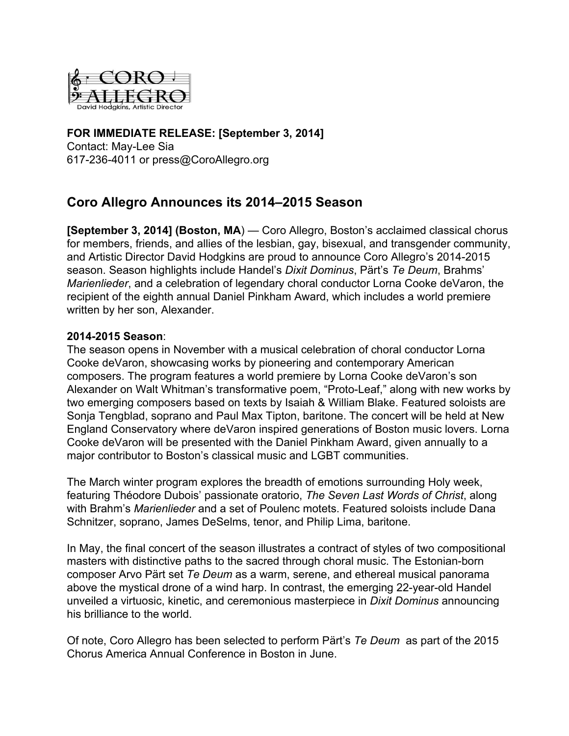

# **FOR IMMEDIATE RELEASE: [September 3, 2014]** Contact: May-Lee Sia

6172364011 or press@CoroAllegro.org

# **Coro Allegro Announces its 2014–2015 Season**

**[September 3, 2014] (Boston, MA**) — Coro Allegro, Boston's acclaimed classical chorus for members, friends, and allies of the lesbian, gay, bisexual, and transgender community, and Artistic Director David Hodgkins are proud to announce Coro Allegro's 2014-2015 season. Season highlights include Handel's *Dixit Dominus*, Pärt's *Te Deum*, Brahms' *Marienlieder*, and a celebration of legendary choral conductor Lorna Cooke deVaron, the recipient of the eighth annual Daniel Pinkham Award, which includes a world premiere written by her son, Alexander.

# **20142015 Season**:

The season opens in November with a musical celebration of choral conductor Lorna Cooke deVaron, showcasing works by pioneering and contemporary American composers. The program features a world premiere by Lorna Cooke deVaron's son Alexander on Walt Whitman's transformative poem, "Proto-Leaf," along with new works by two emerging composers based on texts by Isaiah & William Blake. Featured soloists are Sonja Tengblad, soprano and Paul Max Tipton, baritone. The concert will be held at New England Conservatory where deVaron inspired generations of Boston music lovers. Lorna Cooke deVaron will be presented with the Daniel Pinkham Award, given annually to a major contributor to Boston's classical music and LGBT communities.

The March winter program explores the breadth of emotions surrounding Holy week, featuring Théodore Dubois' passionate oratorio, *The Seven Last Words of Christ*, along with Brahm's *Marienlieder* and a set of Poulenc motets. Featured soloists include Dana Schnitzer, soprano, James DeSelms, tenor, and Philip Lima, baritone.

In May, the final concert of the season illustrates a contract of styles of two compositional masters with distinctive paths to the sacred through choral music. The Estonian-born composer Arvo Pärt set *Te Deum* as a warm, serene, and ethereal musical panorama above the mystical drone of a wind harp. In contrast, the emerging 22-year-old Handel unveiled a virtuosic, kinetic, and ceremonious masterpiece in *Dixit Dominus* announcing his brilliance to the world.

Of note, Coro Allegro has been selected to perform Pärt's *Te Deum* as part of the 2015 Chorus America Annual Conference in Boston in June.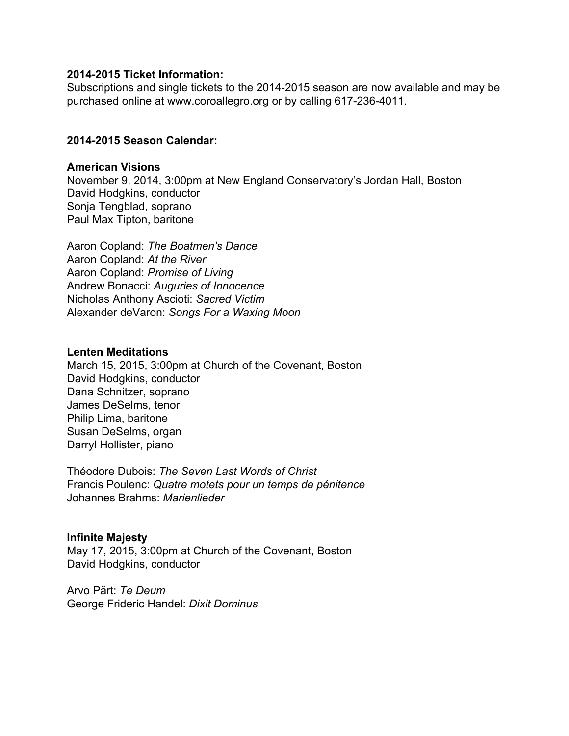#### **20142015 Ticket Information:**

Subscriptions and single tickets to the 2014-2015 season are now available and may be purchased online at www.coroallegro.org or by calling 617-236-4011.

### **20142015 Season Calendar:**

#### **American Visions**

November 9, 2014, 3:00pm at New England Conservatory's Jordan Hall, Boston David Hodgkins, conductor Sonja Tengblad, soprano Paul Max Tipton, baritone

Aaron Copland: *The Boatmen's Dance* Aaron Copland: *At the River* Aaron Copland: *Promise of Living* Andrew Bonacci: *Auguries of Innocence* Nicholas Anthony Ascioti: *Sacred Victim* Alexander deVaron: *Songs For a Waxing Moon*

#### **Lenten Meditations**

March 15, 2015, 3:00pm at Church of the Covenant, Boston David Hodgkins, conductor Dana Schnitzer, soprano James DeSelms, tenor Philip Lima, baritone Susan DeSelms, organ Darryl Hollister, piano

Théodore Dubois: *The Seven Last Words of Christ* Francis Poulenc: *Quatre motets pour un temps de pénitence* Johannes Brahms: *Marienlieder*

#### **Infinite Majesty**

May 17, 2015, 3:00pm at Church of the Covenant, Boston David Hodgkins, conductor

Arvo Pärt: *Te Deum* George Frideric Handel: *Dixit Dominus*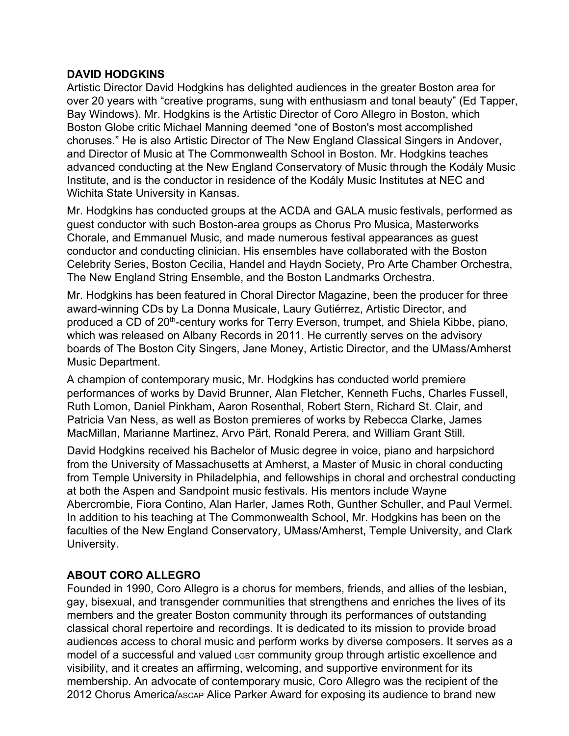# **DAVID HODGKINS**

Artistic Director David Hodgkins has delighted audiences in the greater Boston area for over 20 years with "creative programs, sung with enthusiasm and tonal beauty" (Ed Tapper, Bay Windows). Mr. Hodgkins is the Artistic Director of Coro Allegro in Boston, which Boston Globe critic Michael Manning deemed "one of Boston's most accomplished choruses." He is also Artistic Director of The New England Classical Singers in Andover, and Director of Music at The Commonwealth School in Boston. Mr. Hodgkins teaches advanced conducting at the New England Conservatory of Music through the Kodály Music Institute, and is the conductor in residence of the Kodály Music Institutes at NEC and Wichita State University in Kansas.

Mr. Hodgkins has conducted groups at the ACDA and GALA music festivals, performed as guest conductor with such Boston-area groups as Chorus Pro Musica, Masterworks Chorale, and Emmanuel Music, and made numerous festival appearances as guest conductor and conducting clinician. His ensembles have collaborated with the Boston Celebrity Series, Boston Cecilia, Handel and Haydn Society, Pro Arte Chamber Orchestra, The New England String Ensemble, and the Boston Landmarks Orchestra.

Mr. Hodgkins has been featured in Choral Director Magazine, been the producer for three award-winning CDs by La Donna Musicale, Laury Gutiérrez, Artistic Director, and produced a CD of 20<sup>th</sup>-century works for Terry Everson, trumpet, and Shiela Kibbe, piano, which was released on Albany Records in 2011. He currently serves on the advisory boards of The Boston City Singers, Jane Money, Artistic Director, and the UMass/Amherst Music Department.

A champion of contemporary music, Mr. Hodgkins has conducted world premiere performances of works by David Brunner, Alan Fletcher, Kenneth Fuchs, Charles Fussell, Ruth Lomon, Daniel Pinkham, Aaron Rosenthal, Robert Stern, Richard St. Clair, and Patricia Van Ness, as well as Boston premieres of works by Rebecca Clarke, James MacMillan, Marianne Martinez, Arvo Pärt, Ronald Perera, and William Grant Still.

David Hodgkins received his Bachelor of Music degree in voice, piano and harpsichord from the University of Massachusetts at Amherst, a Master of Music in choral conducting from Temple University in Philadelphia, and fellowships in choral and orchestral conducting at both the Aspen and Sandpoint music festivals. His mentors include Wayne Abercrombie, Fiora Contino, Alan Harler, James Roth, Gunther Schuller, and Paul Vermel. In addition to his teaching at The Commonwealth School, Mr. Hodgkins has been on the faculties of the New England Conservatory, UMass/Amherst, Temple University, and Clark University.

# **ABOUT CORO ALLEGRO**

Founded in 1990, Coro Allegro is a chorus for members, friends, and allies of the lesbian, gay, bisexual, and transgender communities that strengthens and enriches the lives of its members and the greater Boston community through its performances of outstanding classical choral repertoire and recordings. It is dedicated to its mission to provide broad audiences access to choral music and perform works by diverse composers. It serves as a model of a successful and valued LGBT community group through artistic excellence and visibility, and it creates an affirming, welcoming, and supportive environment for its membership. An advocate of contemporary music, Coro Allegro was the recipient of the 2012 Chorus America/ASCAP Alice Parker Award for exposing its audience to brand new